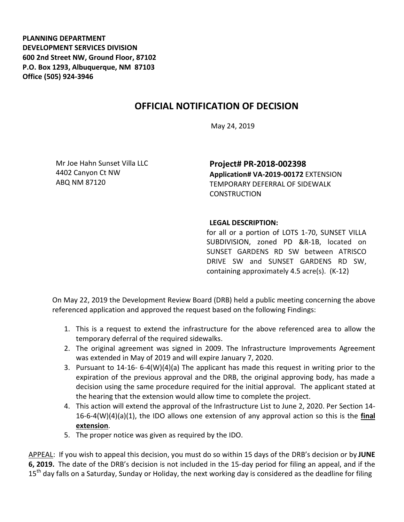**PLANNING DEPARTMENT DEVELOPMENT SERVICES DIVISION 600 2nd Street NW, Ground Floor, 87102 P.O. Box 1293, Albuquerque, NM 87103 Office (505) 924-3946** 

## **OFFICIAL NOTIFICATION OF DECISION**

May 24, 2019

Mr Joe Hahn Sunset Villa LLC 4402 Canyon Ct NW ABQ NM 87120

**Project# PR-2018-002398 Application# VA-2019-00172** EXTENSION TEMPORARY DEFERRAL OF SIDEWALK **CONSTRUCTION** 

## **LEGAL DESCRIPTION:**

for all or a portion of LOTS 1-70, SUNSET VILLA SUBDIVISION, zoned PD &R-1B, located on SUNSET GARDENS RD SW between ATRISCO DRIVE SW and SUNSET GARDENS RD SW, containing approximately 4.5 acre(s). (K-12)

On May 22, 2019 the Development Review Board (DRB) held a public meeting concerning the above referenced application and approved the request based on the following Findings:

- 1. This is a request to extend the infrastructure for the above referenced area to allow the temporary deferral of the required sidewalks.
- 2. The original agreement was signed in 2009. The Infrastructure Improvements Agreement was extended in May of 2019 and will expire January 7, 2020.
- 3. Pursuant to 14-16- 6-4(W)(4)(a) The applicant has made this request in writing prior to the expiration of the previous approval and the DRB, the original approving body, has made a decision using the same procedure required for the initial approval. The applicant stated at the hearing that the extension would allow time to complete the project.
- 4. This action will extend the approval of the Infrastructure List to June 2, 2020. Per Section 14- 16-6-4(W)(4)(a)(1), the IDO allows one extension of any approval action so this is the **final extension**.
- 5. The proper notice was given as required by the IDO.

APPEAL: If you wish to appeal this decision, you must do so within 15 days of the DRB's decision or by **JUNE 6, 2019.** The date of the DRB's decision is not included in the 15-day period for filing an appeal, and if the 15<sup>th</sup> day falls on a Saturday, Sunday or Holiday, the next working day is considered as the deadline for filing